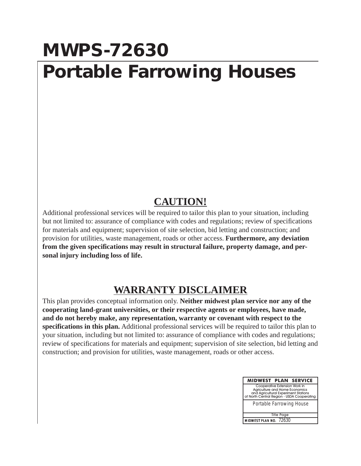## **MWPS-72630 Portable Farrowing Houses**

## **CAUTION!**

Additional professional services will be required to tailor this plan to your situation, including but not limited to: assurance of compliance with codes and regulations; review of specifications for materials and equipment; supervision of site selection, bid letting and construction; and provision for utilities, waste management, roads or other access. **Furthermore, any deviation from the given specifications may result in structural failure, property damage, and personal injury including loss of life.**

## **WARRANTY DISCLAIMER**

This plan provides conceptual information only. **Neither midwest plan service nor any of the cooperating land-grant universities, or their respective agents or employees, have made, and do not hereby make, any representation, warranty or covenant with respect to the specifications in this plan.** Additional professional services will be required to tailor this plan to your situation, including but not limited to: assurance of compliance with codes and regulations; review of specifications for materials and equipment; supervision of site selection, bid letting and construction; and provision for utilities, waste management, roads or other access.

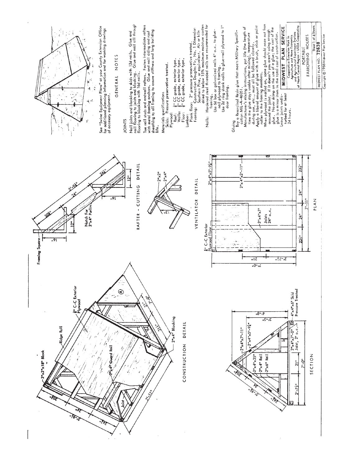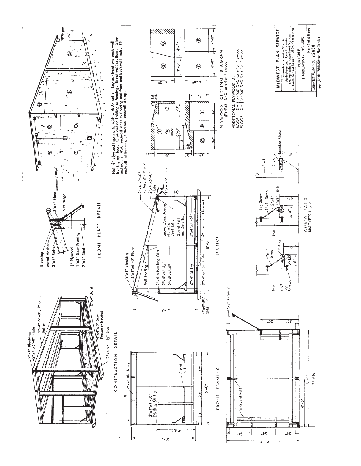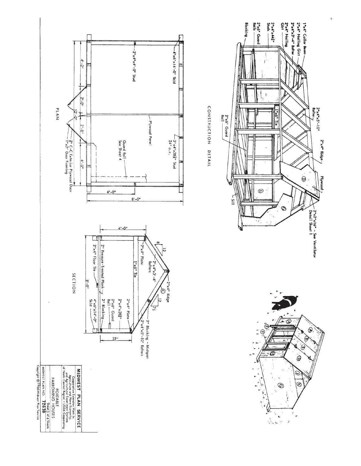